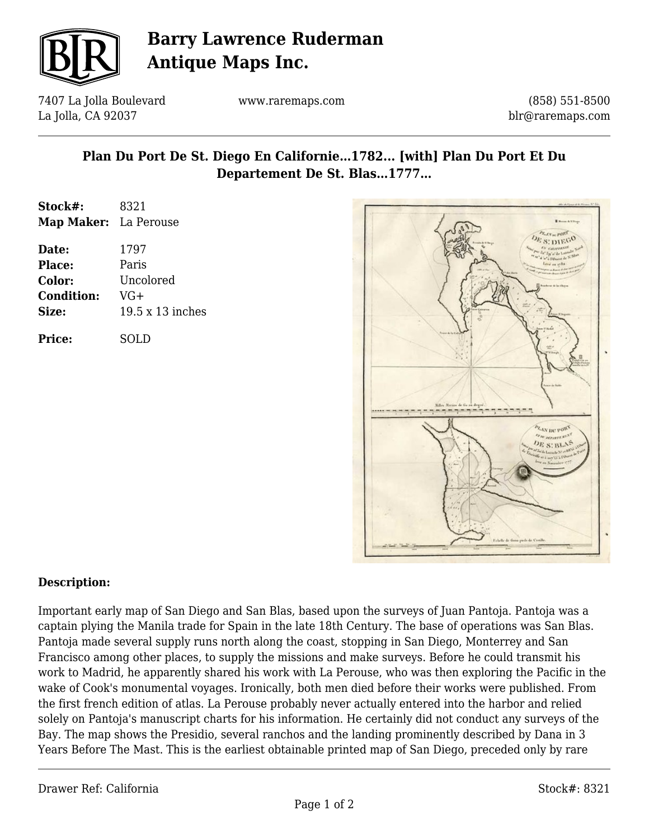

# **Barry Lawrence Ruderman Antique Maps Inc.**

7407 La Jolla Boulevard La Jolla, CA 92037

www.raremaps.com

(858) 551-8500 blr@raremaps.com

### **Plan Du Port De St. Diego En Californie…1782... [with] Plan Du Port Et Du Departement De St. Blas…1777…**

| Stock#:               | 8321             |
|-----------------------|------------------|
| Map Maker: La Perouse |                  |
| Date:                 | 1797             |
| Place:                | Paris            |
| Color:                | Uncolored        |
| <b>Condition:</b>     | VG+              |
| Size:                 | 19.5 x 13 inches |
| <b>Price:</b>         | SOLD             |



### **Description:**

Important early map of San Diego and San Blas, based upon the surveys of Juan Pantoja. Pantoja was a captain plying the Manila trade for Spain in the late 18th Century. The base of operations was San Blas. Pantoja made several supply runs north along the coast, stopping in San Diego, Monterrey and San Francisco among other places, to supply the missions and make surveys. Before he could transmit his work to Madrid, he apparently shared his work with La Perouse, who was then exploring the Pacific in the wake of Cook's monumental voyages. Ironically, both men died before their works were published. From the first french edition of atlas. La Perouse probably never actually entered into the harbor and relied solely on Pantoja's manuscript charts for his information. He certainly did not conduct any surveys of the Bay. The map shows the Presidio, several ranchos and the landing prominently described by Dana in 3 Years Before The Mast. This is the earliest obtainable printed map of San Diego, preceded only by rare